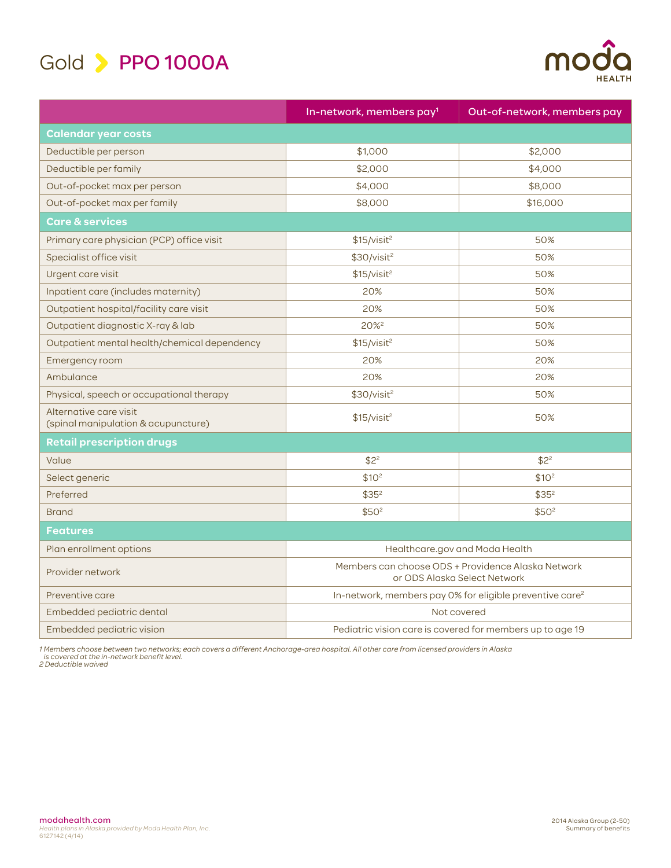

| TU |               |
|----|---------------|
|    | <b>HEALTH</b> |

|                                                               | In-network, members pay <sup>1</sup>                                               | Out-of-network, members pay |
|---------------------------------------------------------------|------------------------------------------------------------------------------------|-----------------------------|
| <b>Calendar year costs</b>                                    |                                                                                    |                             |
| Deductible per person                                         | \$1,000                                                                            | \$2,000                     |
| Deductible per family                                         | \$2,000                                                                            | \$4,000                     |
| Out-of-pocket max per person                                  | \$4,000                                                                            | \$8,000                     |
| Out-of-pocket max per family                                  | \$8,000                                                                            | \$16,000                    |
| <b>Care &amp; services</b>                                    |                                                                                    |                             |
| Primary care physician (PCP) office visit                     | \$15/visit <sup>2</sup>                                                            | 50%                         |
| Specialist office visit                                       | \$30/visit <sup>2</sup>                                                            | 50%                         |
| Urgent care visit                                             | \$15/visit <sup>2</sup>                                                            | 50%                         |
| Inpatient care (includes maternity)                           | 20%                                                                                | 50%                         |
| Outpatient hospital/facility care visit                       | 20%                                                                                | 50%                         |
| Outpatient diagnostic X-ray & lab                             | 20% <sup>2</sup>                                                                   | 50%                         |
| Outpatient mental health/chemical dependency                  | \$15/visit <sup>2</sup>                                                            | 50%                         |
| Emergency room                                                | 20%                                                                                | 20%                         |
| Ambulance                                                     | 20%                                                                                | 20%                         |
| Physical, speech or occupational therapy                      | \$30/visit <sup>2</sup>                                                            | 50%                         |
| Alternative care visit<br>(spinal manipulation & acupuncture) | \$15/visit <sup>2</sup>                                                            | 50%                         |
| <b>Retail prescription drugs</b>                              |                                                                                    |                             |
| Value                                                         | $$2^2$                                                                             | $$2^2$                      |
| Select generic                                                | \$10 <sup>2</sup>                                                                  | \$10 <sup>2</sup>           |
| Preferred                                                     | $$35^2$                                                                            | $$35^2$                     |
| <b>Brand</b>                                                  | \$50 <sup>2</sup>                                                                  | \$50 <sup>2</sup>           |
| <b>Features</b>                                               |                                                                                    |                             |
| Plan enrollment options                                       | Healthcare.gov and Moda Health                                                     |                             |
| Provider network                                              | Members can choose ODS + Providence Alaska Network<br>or ODS Alaska Select Network |                             |
| Preventive care                                               | In-network, members pay 0% for eligible preventive care <sup>2</sup>               |                             |
| Embedded pediatric dental                                     | Not covered                                                                        |                             |
| Embedded pediatric vision                                     | Pediatric vision care is covered for members up to age 19                          |                             |

1 Members choose between two networks; each covers a different Anchorage-area hospital. All other care from licensed providers in Alaska<br> is covered at the in-network benefit level.<br>2 Deductible waived